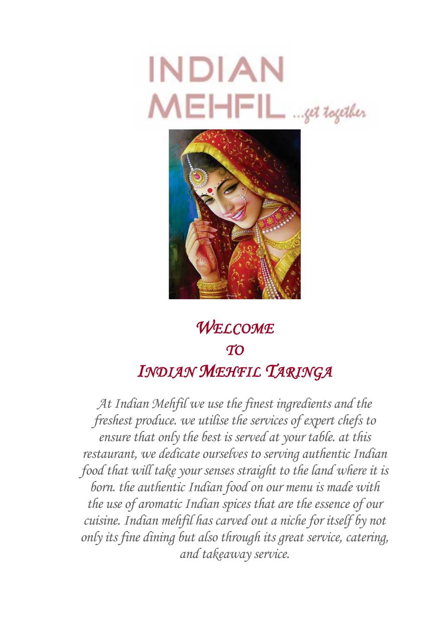



# *WELCOME TO INDIAN MEHFIL TARINGA*

*At Indian Mehfil we use the finest ingredients and the freshest produce. we utilise the services of expert chefs to ensure that only the best is served at your table. at this restaurant, we dedicate ourselves to serving authentic Indian food that will take your senses straight to the land where it is born. the authentic Indian food on our menu is made with the use of aromatic Indian spices that are the essence of our cuisine. Indian mehfil has carved out a niche for itself by not only its fine dining but also through its great service, catering, and takeaway service.*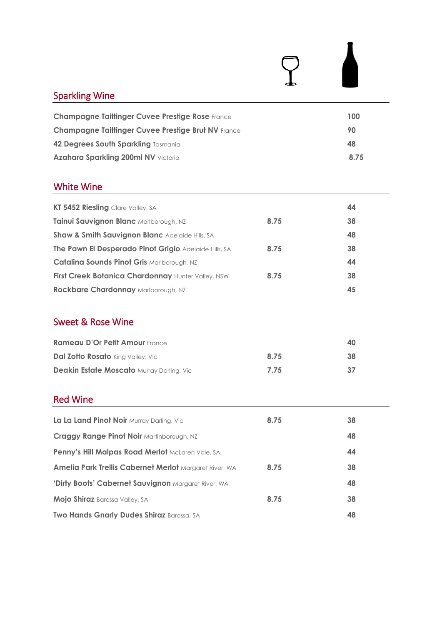| <b>Sparkling Wine</b>                                         |      |      |
|---------------------------------------------------------------|------|------|
| <b>Champagne Taittinger Cuvee Prestige Rose France</b>        |      | 100  |
| <b>Champagne Taittinger Cuvee Prestige Brut NV France</b>     |      | 90   |
| 42 Degrees South Sparkling Tasmania                           |      | 48   |
| Azahara Sparkling 200ml NV Victoria                           |      | 8.75 |
| <b>White Wine</b>                                             |      |      |
| KT 5452 Riesling Clare Valley, SA                             |      | 44   |
| Tainui Sauvignon Blanc Marlborough, NZ                        | 8.75 | 38   |
| Shaw & Smith Sauvignon Blanc Adelaide Hills, SA               |      | 48   |
| The Pawn El Desperado Pinot Grigio Adelaide Hills, SA         | 8.75 | 38   |
| Catalina Sounds Pinot Gris Marlborough, NZ                    |      | 44   |
| First Creek Botanica Chardonnay Hunter Valley, NSW            | 8.75 | 38   |
| Rockbare Chardonnay Marlborough, NZ                           |      | 45   |
| <b>Sweet &amp; Rose Wine</b>                                  |      |      |
| <b>Rameau D'Or Petit Amour France</b>                         |      | 40   |
| Dal Zotto Rosato King Valley, Vic                             | 8.75 | 38   |
| <b>Deakin Estate Moscato Murray Darling, Vic</b>              | 7.75 | 37   |
| <b>Red Wine</b>                                               |      |      |
| La La Land Pinot Noir Murray Darling, Vic                     | 8.75 | 38   |
| <b>Craggy Range Pinot Noir Martinborough, NZ</b>              |      | 48   |
| Penny's Hill Malpas Road Merlot McLaren Vale, SA              |      | 44   |
| <b>Amelia Park Trellis Cabernet Merlot Margaret River, WA</b> | 8.75 | 38   |
| 'Dirty Boots' Cabernet Sauvignon Margaret River, WA           |      | 48   |
| Mojo Shiraz Barossa Valley, SA                                | 8.75 | 38   |
| Two Hands Gnarly Dudes Shiraz Barossa, SA                     |      | 48   |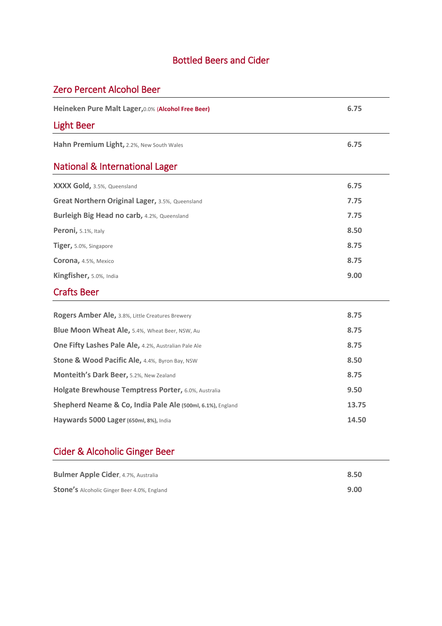### Bottled Beers and Cider

## Zero Percent Alcohol Beer

| Heineken Pure Malt Lager, 0.0% (Alcohol Free Beer)         | 6.75  |
|------------------------------------------------------------|-------|
| Light Beer                                                 |       |
| Hahn Premium Light, 2.2%, New South Wales                  | 6.75  |
| <b>National &amp; International Lager</b>                  |       |
| XXXX Gold, 3.5%, Queensland                                | 6.75  |
| Great Northern Original Lager, 3.5%, Queensland            | 7.75  |
| Burleigh Big Head no carb, 4.2%, Queensland                | 7.75  |
| Peroni, 5.1%, Italy                                        | 8.50  |
| Tiger, 5.0%, Singapore                                     | 8.75  |
| Corona, 4.5%, Mexico                                       | 8.75  |
| Kingfisher, 5.0%, India                                    | 9.00  |
| <b>Crafts Beer</b>                                         |       |
| Rogers Amber Ale, 3.8%, Little Creatures Brewery           | 8.75  |
| Blue Moon Wheat Ale, 5.4%, Wheat Beer, NSW, Au             | 8.75  |
| One Fifty Lashes Pale Ale, 4.2%, Australian Pale Ale       | 8.75  |
| Stone & Wood Pacific Ale, 4.4%, Byron Bay, NSW             | 8.50  |
| Monteith's Dark Beer, 5.2%, New Zealand                    | 8.75  |
| Holgate Brewhouse Temptress Porter, 6.0%, Australia        | 9.50  |
| Shepherd Neame & Co, India Pale Ale (500ml, 6.1%), England | 13.75 |
| Haywards 5000 Lager (650ml, 8%), India                     | 14.50 |

## Cider & Alcoholic Ginger Beer

| <b>Bulmer Apple Cider, 4.7%, Australia</b>         | 8.50 |
|----------------------------------------------------|------|
| <b>Stone's</b> Alcoholic Ginger Beer 4.0%, England | 9.00 |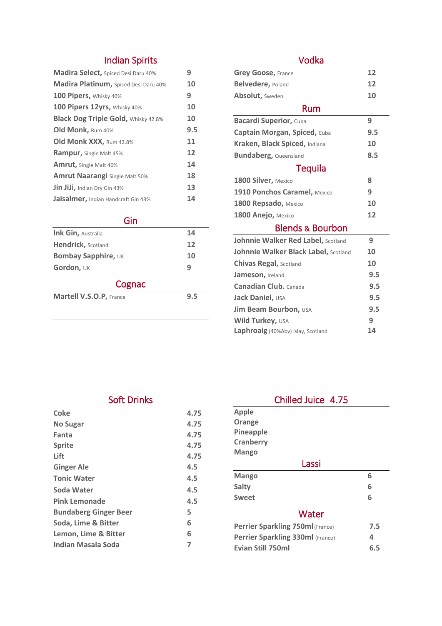### Indian Spirits

| <b>Madira Select, Spiced Desi Daru 40%</b> | 9   |
|--------------------------------------------|-----|
| Madira Platinum, Spiced Desi Daru 40%      | 10  |
| 100 Pipers, Whisky 40%                     | 9   |
| 100 Pipers 12yrs, Whisky 40%               | 10  |
| <b>Black Dog Triple Gold, Whisky 42.8%</b> | 10  |
| Old Monk, Rum 40%                          | 9.5 |
| Old Monk XXX, Rum 42.8%                    | 11  |
| <b>Rampur, Single Malt 45%</b>             | 12  |
| Amrut, Single Malt 46%                     | 14  |
| <b>Amrut Naarangi</b> Single Malt 50%      | 18  |
| Jin JiJi, Indian Dry Gin 43%               | 13  |
| Jaisalmer, Indian Handcraft Gin 43%        | 14  |

### Gin

| Ink Gin, Australia             | 14  |
|--------------------------------|-----|
| <b>Hendrick, Scotland</b>      | 12  |
| <b>Bombay Sapphire, UK</b>     | 10  |
| Gordon, UK                     | q   |
| Cognac                         |     |
| <b>Martell V.S.O.P, France</b> | 9.5 |
|                                |     |

### Vodka

| <b>Grey Goose, France</b>            | 12  |
|--------------------------------------|-----|
| <b>Belvedere, Poland</b>             | 12  |
| <b>Absolut, Sweden</b>               | 10  |
| Rum                                  |     |
| <b>Bacardi Superior, Cuba</b>        | 9   |
| Captain Morgan, Spiced, Cuba         | 9.5 |
| Kraken, Black Spiced, Indiana        | 10  |
| <b>Bundaberg, Queensland</b>         | 8.5 |
| <b>Tequila</b>                       |     |
| 1800 Silver, Mexico                  | 8   |
| 1910 Ponchos Caramel, Mexico         | 9   |
| 1800 Repsado, Mexico                 | 10  |
| 1800 Anejo, Mexico                   | 12  |
| <b>Blends &amp; Bourbon</b>          |     |
| Johnnie Walker Red Label, Scotland   | 9   |
| Johnnie Walker Black Label, Scotland | 10  |
| <b>Chivas Regal, Scotland</b>        | 10  |
| Jameson, Ireland                     | 9.5 |
| <b>Canadian Club.</b> Canada         | 9.5 |
| Jack Daniel, USA                     | 9.5 |

**Jim Beam Bourbon,** *USA* **9.5 Wild Turkey, USA 9 Laphroaig** (40%Abv) Islay, Scotland **14**

 $\overline{a}$ 

### Soft Drinks

| Coke                         | 4.75 |
|------------------------------|------|
| <b>No Sugar</b>              | 4.75 |
| Fanta                        | 4.75 |
| <b>Sprite</b>                | 4.75 |
| Lift                         | 4.75 |
| <b>Ginger Ale</b>            | 4.5  |
| <b>Tonic Water</b>           | 4.5  |
| Soda Water                   | 4.5  |
| <b>Pink Lemonade</b>         | 4.5  |
| <b>Bundaberg Ginger Beer</b> | 5    |
| Soda, Lime & Bitter          | 6    |
| Lemon, Lime & Bitter         | 6    |
| Indian Masala Soda           | 7    |
|                              |      |

| Chilled Juice 4.75               |     |  |
|----------------------------------|-----|--|
| <b>Apple</b>                     |     |  |
| Orange                           |     |  |
| Pineapple                        |     |  |
| <b>Cranberry</b>                 |     |  |
| <b>Mango</b>                     |     |  |
| Lassi                            |     |  |
| <b>Mango</b>                     | 6   |  |
| Salty                            | 6   |  |
| <b>Sweet</b>                     | 6   |  |
| Water                            |     |  |
| Perrier Sparkling 750ml (France) | 7.5 |  |
| Perrier Sparkling 330ml (France) | 4   |  |
| <b>Evian Still 750ml</b>         | 6.5 |  |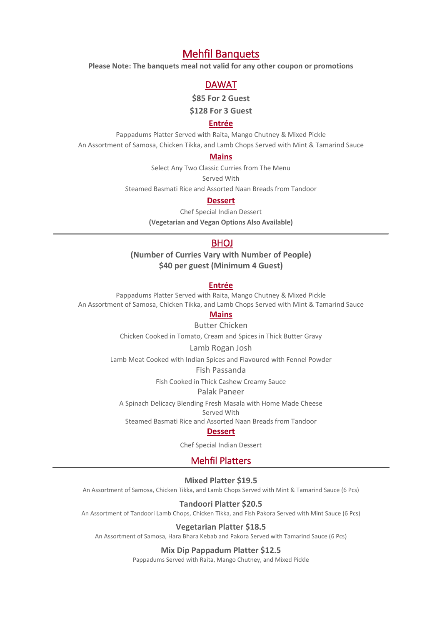### Mehfil Banquets

**Please Note: The banquets meal not valid for any other coupon or promotions**

### DAWAT

**\$85 For 2 Guest**

**\$128 For 3 Guest**

### **Entrée**

Pappadums Platter Served with Raita, Mango Chutney & Mixed Pickle An Assortment of Samosa, Chicken Tikka, and Lamb Chops Served with Mint & Tamarind Sauce

#### **Mains**

Select Any Two Classic Curries from The Menu

Served With

Steamed Basmati Rice and Assorted Naan Breads from Tandoor

### **Dessert**

Chef Special Indian Dessert **(Vegetarian and Vegan Options Also Available)**

### **BHOJ**

**(Number of Curries Vary with Number of People) \$40 per guest (Minimum 4 Guest)**

#### **Entrée**

Pappadums Platter Served with Raita, Mango Chutney & Mixed Pickle An Assortment of Samosa, Chicken Tikka, and Lamb Chops Served with Mint & Tamarind Sauce

### **Mains**

Butter Chicken Chicken Cooked in Tomato, Cream and Spices in Thick Butter Gravy

#### Lamb Rogan Josh

Lamb Meat Cooked with Indian Spices and Flavoured with Fennel Powder

Fish Passanda

Fish Cooked in Thick Cashew Creamy Sauce

#### Palak Paneer

A Spinach Delicacy Blending Fresh Masala with Home Made Cheese Served With

Steamed Basmati Rice and Assorted Naan Breads from Tandoor

#### **Dessert**

Chef Special Indian Dessert

### Mehfil Platters

#### **Mixed Platter \$19.5**

An Assortment of Samosa, Chicken Tikka, and Lamb Chops Served with Mint & Tamarind Sauce (6 Pcs)

#### **Tandoori Platter \$20.5**

An Assortment of Tandoori Lamb Chops, Chicken Tikka, and Fish Pakora Served with Mint Sauce (6 Pcs)

#### **Vegetarian Platter \$18.5**

An Assortment of Samosa, Hara Bhara Kebab and Pakora Served with Tamarind Sauce (6 Pcs)

#### **Mix Dip Pappadum Platter \$12.5**

Pappadums Served with Raita, Mango Chutney, and Mixed Pickle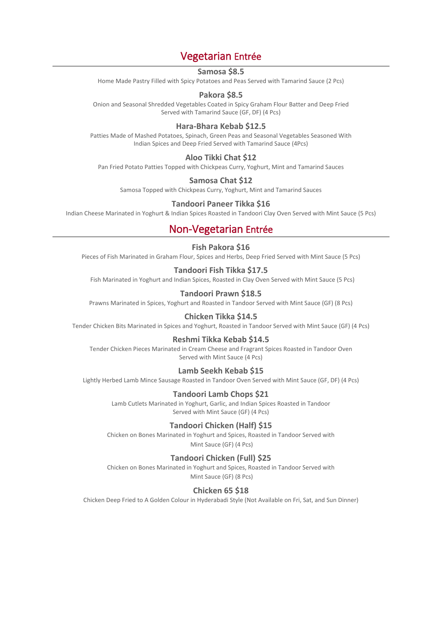### Vegetarian Entrée

### **Samosa \$8.5**

Home Made Pastry Filled with Spicy Potatoes and Peas Served with Tamarind Sauce (2 Pcs)

### **Pakora \$8.5**

Onion and Seasonal Shredded Vegetables Coated in Spicy Graham Flour Batter and Deep Fried Served with Tamarind Sauce (GF, DF) (4 Pcs)

### **Hara-Bhara Kebab \$12.5**

Patties Made of Mashed Potatoes, Spinach, Green Peas and Seasonal Vegetables Seasoned With Indian Spices and Deep Fried Served with Tamarind Sauce (4Pcs)

### **Aloo Tikki Chat \$12**

Pan Fried Potato Patties Topped with Chickpeas Curry, Yoghurt, Mint and Tamarind Sauces

### **Samosa Chat \$12**

Samosa Topped with Chickpeas Curry, Yoghurt, Mint and Tamarind Sauces

#### **Tandoori Paneer Tikka \$16**

Indian Cheese Marinated in Yoghurt & Indian Spices Roasted in Tandoori Clay Oven Served with Mint Sauce (5 Pcs)

### Non-Vegetarian Entrée

### **Fish Pakora \$16**

Pieces of Fish Marinated in Graham Flour, Spices and Herbs, Deep Fried Served with Mint Sauce (5 Pcs)

#### **Tandoori Fish Tikka \$17.5**

Fish Marinated in Yoghurt and Indian Spices, Roasted in Clay Oven Served with Mint Sauce (5 Pcs)

### **Tandoori Prawn \$18.5**

Prawns Marinated in Spices, Yoghurt and Roasted in Tandoor Served with Mint Sauce (GF) (8 Pcs)

#### **Chicken Tikka \$14.5**

Tender Chicken Bits Marinated in Spices and Yoghurt, Roasted in Tandoor Served with Mint Sauce (GF) (4 Pcs)

#### **Reshmi Tikka Kebab \$14.5**

Tender Chicken Pieces Marinated in Cream Cheese and Fragrant Spices Roasted in Tandoor Oven Served with Mint Sauce (4 Pcs)

#### **Lamb Seekh Kebab \$15**

Lightly Herbed Lamb Mince Sausage Roasted in Tandoor Oven Served with Mint Sauce (GF, DF) (4 Pcs)

#### **Tandoori Lamb Chops \$21**

Lamb Cutlets Marinated in Yoghurt, Garlic, and Indian Spices Roasted in Tandoor Served with Mint Sauce (GF) (4 Pcs)

#### **Tandoori Chicken (Half) \$15**

Chicken on Bones Marinated in Yoghurt and Spices, Roasted in Tandoor Served with Mint Sauce (GF) (4 Pcs)

#### **Tandoori Chicken (Full) \$25**

Chicken on Bones Marinated in Yoghurt and Spices, Roasted in Tandoor Served with Mint Sauce (GF) (8 Pcs)

### **Chicken 65 \$18**

Chicken Deep Fried to A Golden Colour in Hyderabadi Style (Not Available on Fri, Sat, and Sun Dinner)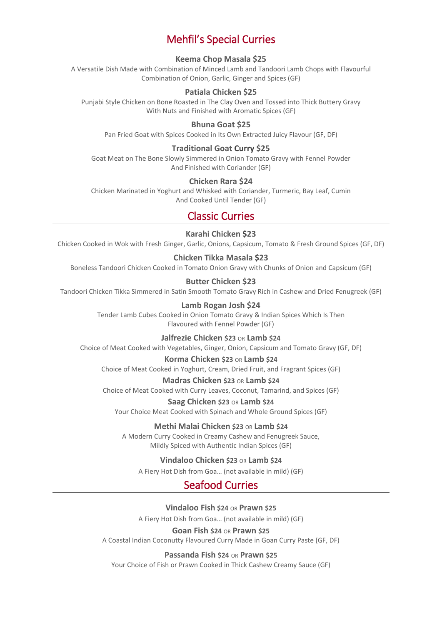### Mehfil's Special Curries

#### **Keema Chop Masala \$25**

A Versatile Dish Made with Combination of Minced Lamb and Tandoori Lamb Chops with Flavourful Combination of Onion, Garlic, Ginger and Spices (GF)

#### **Patiala Chicken \$25**

Punjabi Style Chicken on Bone Roasted in The Clay Oven and Tossed into Thick Buttery Gravy With Nuts and Finished with Aromatic Spices (GF)

#### **Bhuna Goat \$25**

Pan Fried Goat with Spices Cooked in Its Own Extracted Juicy Flavour (GF, DF)

#### **Traditional Goat Curry \$25**

Goat Meat on The Bone Slowly Simmered in Onion Tomato Gravy with Fennel Powder And Finished with Coriander (GF)

#### **Chicken Rara \$24**

Chicken Marinated in Yoghurt and Whisked with Coriander, Turmeric, Bay Leaf, Cumin And Cooked Until Tender (GF)

### Classic Curries

#### **Karahi Chicken \$23**

Chicken Cooked in Wok with Fresh Ginger, Garlic, Onions, Capsicum, Tomato & Fresh Ground Spices (GF, DF)

#### **Chicken Tikka Masala \$23**

Boneless Tandoori Chicken Cooked in Tomato Onion Gravy with Chunks of Onion and Capsicum (GF)

#### **Butter Chicken \$23**

Tandoori Chicken Tikka Simmered in Satin Smooth Tomato Gravy Rich in Cashew and Dried Fenugreek (GF)

#### **Lamb Rogan Josh \$24**

Tender Lamb Cubes Cooked in Onion Tomato Gravy & Indian Spices Which Is Then Flavoured with Fennel Powder (GF)

#### **Jalfrezie Chicken \$23** OR **Lamb \$24**

Choice of Meat Cooked with Vegetables, Ginger, Onion, Capsicum and Tomato Gravy (GF, DF)

#### **Korma Chicken \$23** OR **Lamb \$24**

Choice of Meat Cooked in Yoghurt, Cream, Dried Fruit, and Fragrant Spices (GF)

### **Madras Chicken \$23** OR **Lamb \$24**

Choice of Meat Cooked with Curry Leaves, Coconut, Tamarind, and Spices (GF)

#### **Saag Chicken \$23** OR **Lamb \$24**

Your Choice Meat Cooked with Spinach and Whole Ground Spices (GF)

### **Methi Malai Chicken \$23** OR **Lamb \$24**

A Modern Curry Cooked in Creamy Cashew and Fenugreek Sauce, Mildly Spiced with Authentic Indian Spices (GF)

#### **Vindaloo Chicken \$23** OR **Lamb \$24**

A Fiery Hot Dish from Goa… (not available in mild) (GF)

### Seafood Curries

**Vindaloo Fish \$24** OR **Prawn \$25** 

A Fiery Hot Dish from Goa… (not available in mild) (GF)

#### **Goan Fish \$24** OR **Prawn \$25**

A Coastal Indian Coconutty Flavoured Curry Made in Goan Curry Paste (GF, DF)

#### **Passanda Fish \$24** OR **Prawn \$25**

Your Choice of Fish or Prawn Cooked in Thick Cashew Creamy Sauce (GF)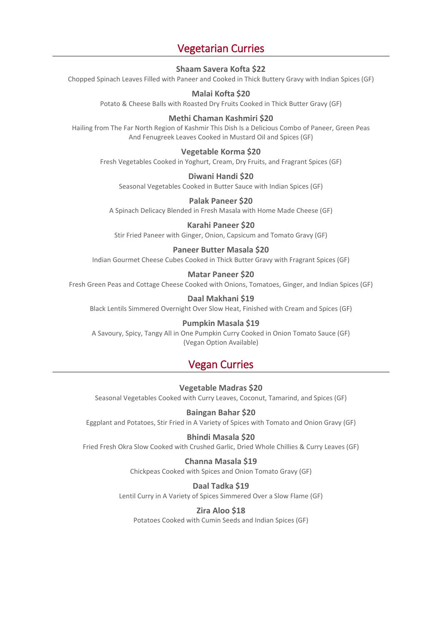### Vegetarian Curries

### **Shaam Savera Kofta \$22**

Chopped Spinach Leaves Filled with Paneer and Cooked in Thick Buttery Gravy with Indian Spices (GF)

### **Malai Kofta \$20**

Potato & Cheese Balls with Roasted Dry Fruits Cooked in Thick Butter Gravy (GF)

### **Methi Chaman Kashmiri \$20**

Hailing from The Far North Region of Kashmir This Dish Is a Delicious Combo of Paneer, Green Peas And Fenugreek Leaves Cooked in Mustard Oil and Spices (GF)

### **Vegetable Korma \$20**

Fresh Vegetables Cooked in Yoghurt, Cream, Dry Fruits, and Fragrant Spices (GF)

### **Diwani Handi \$20**

Seasonal Vegetables Cooked in Butter Sauce with Indian Spices (GF)

### **Palak Paneer \$20**

A Spinach Delicacy Blended in Fresh Masala with Home Made Cheese (GF)

**Karahi Paneer \$20** Stir Fried Paneer with Ginger, Onion, Capsicum and Tomato Gravy (GF)

### **Paneer Butter Masala \$20**

Indian Gourmet Cheese Cubes Cooked in Thick Butter Gravy with Fragrant Spices (GF)

### **Matar Paneer \$20**

Fresh Green Peas and Cottage Cheese Cooked with Onions, Tomatoes, Ginger, and Indian Spices (GF)

### **Daal Makhani \$19**

Black Lentils Simmered Overnight Over Slow Heat, Finished with Cream and Spices (GF)

### **Pumpkin Masala \$19**

A Savoury, Spicy, Tangy All in One Pumpkin Curry Cooked in Onion Tomato Sauce (GF) (Vegan Option Available)

### Vegan Curries

### **Vegetable Madras \$20**

Seasonal Vegetables Cooked with Curry Leaves, Coconut, Tamarind, and Spices (GF)

#### **Baingan Bahar \$20**

Eggplant and Potatoes, Stir Fried in A Variety of Spices with Tomato and Onion Gravy (GF)

### **Bhindi Masala \$20**

Fried Fresh Okra Slow Cooked with Crushed Garlic, Dried Whole Chillies & Curry Leaves (GF)

### **Channa Masala \$19**

Chickpeas Cooked with Spices and Onion Tomato Gravy (GF)

### **Daal Tadka \$19**

Lentil Curry in A Variety of Spices Simmered Over a Slow Flame (GF)

### **Zira Aloo \$18**

Potatoes Cooked with Cumin Seeds and Indian Spices (GF)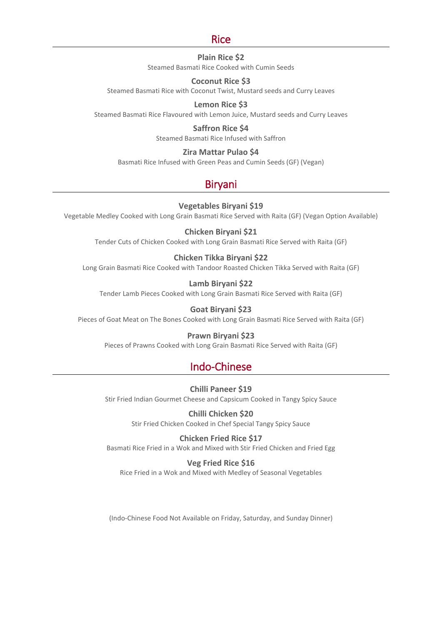### Rice

### **Plain Rice \$2**

Steamed Basmati Rice Cooked with Cumin Seeds

### **Coconut Rice \$3**

Steamed Basmati Rice with Coconut Twist, Mustard seeds and Curry Leaves

### **Lemon Rice \$3**

Steamed Basmati Rice Flavoured with Lemon Juice, Mustard seeds and Curry Leaves

**Saffron Rice \$4**  Steamed Basmati Rice Infused with Saffron

### **Zira Mattar Pulao \$4**

Basmati Rice Infused with Green Peas and Cumin Seeds (GF) (Vegan)

## Biryani

### **Vegetables Biryani \$19**

Vegetable Medley Cooked with Long Grain Basmati Rice Served with Raita (GF) (Vegan Option Available)

### **Chicken Biryani \$21**

Tender Cuts of Chicken Cooked with Long Grain Basmati Rice Served with Raita (GF)

### **Chicken Tikka Biryani \$22**

Long Grain Basmati Rice Cooked with Tandoor Roasted Chicken Tikka Served with Raita (GF)

### **Lamb Biryani \$22**

Tender Lamb Pieces Cooked with Long Grain Basmati Rice Served with Raita (GF)

### **Goat Biryani \$23**

Pieces of Goat Meat on The Bones Cooked with Long Grain Basmati Rice Served with Raita (GF)

### **Prawn Biryani \$23**

Pieces of Prawns Cooked with Long Grain Basmati Rice Served with Raita (GF)

### Indo-Chinese

### **Chilli Paneer \$19**

Stir Fried Indian Gourmet Cheese and Capsicum Cooked in Tangy Spicy Sauce

### **Chilli Chicken \$20**

Stir Fried Chicken Cooked in Chef Special Tangy Spicy Sauce

### **Chicken Fried Rice \$17**

Basmati Rice Fried in a Wok and Mixed with Stir Fried Chicken and Fried Egg

### **Veg Fried Rice \$16**

Rice Fried in a Wok and Mixed with Medley of Seasonal Vegetables

(Indo-Chinese Food Not Available on Friday, Saturday, and Sunday Dinner)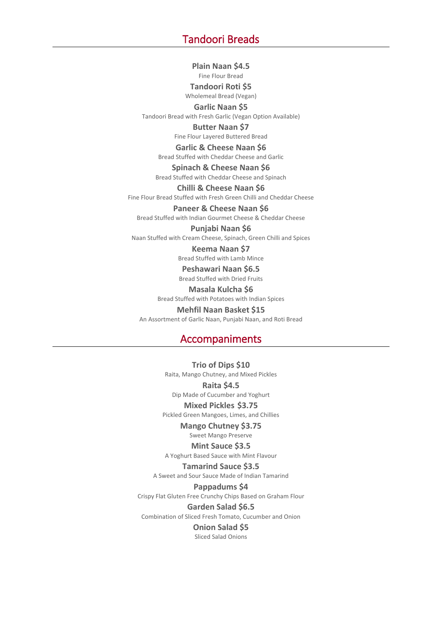### Tandoori Breads

**Plain Naan \$4.5**  Fine Flour Bread

**Tandoori Roti \$5**  Wholemeal Bread (Vegan)

**Garlic Naan \$5**  Tandoori Bread with Fresh Garlic (Vegan Option Available)

> **Butter Naan \$7**  Fine Flour Layered Buttered Bread

**Garlic & Cheese Naan \$6**  Bread Stuffed with Cheddar Cheese and Garlic

**Spinach & Cheese Naan \$6**  Bread Stuffed with Cheddar Cheese and Spinach

**Chilli & Cheese Naan \$6**  Fine Flour Bread Stuffed with Fresh Green Chilli and Cheddar Cheese

**Paneer & Cheese Naan \$6** 

Bread Stuffed with Indian Gourmet Cheese & Cheddar Cheese

#### **Punjabi Naan \$6**

Naan Stuffed with Cream Cheese, Spinach, Green Chilli and Spices

**Keema Naan \$7** 

Bread Stuffed with Lamb Mince

### **Peshawari Naan \$6.5**

Bread Stuffed with Dried Fruits

**Masala Kulcha \$6**  Bread Stuffed with Potatoes with Indian Spices

**Mehfil Naan Basket \$15**  An Assortment of Garlic Naan, Punjabi Naan, and Roti Bread

### Accompaniments

**Trio of Dips \$10** Raita, Mango Chutney, and Mixed Pickles

**Raita \$4.5** 

Dip Made of Cucumber and Yoghurt

**Mixed Pickles \$3.75**

Pickled Green Mangoes, Limes, and Chillies

**Mango Chutney \$3.75**

Sweet Mango Preserve

**Mint Sauce \$3.5** A Yoghurt Based Sauce with Mint Flavour

**Tamarind Sauce \$3.5**

A Sweet and Sour Sauce Made of Indian Tamarind

**Pappadums \$4** Crispy Flat Gluten Free Crunchy Chips Based on Graham Flour

**Garden Salad \$6.5** Combination of Sliced Fresh Tomato, Cucumber and Onion

**Onion Salad \$5**  Sliced Salad Onions